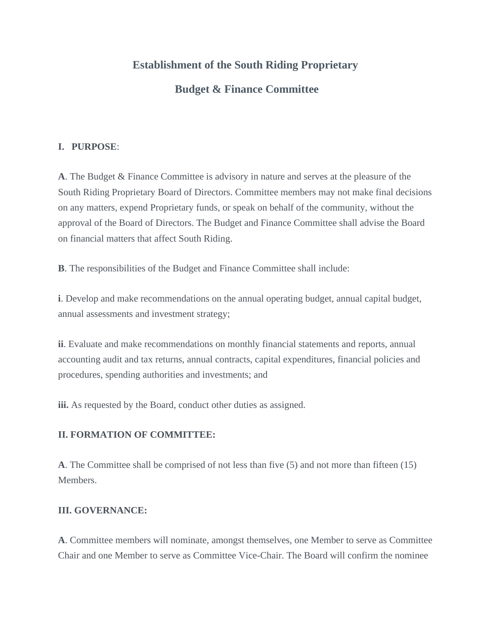# **Establishment of the South Riding Proprietary**

## **Budget & Finance Committee**

## **I. PURPOSE**:

**A**. The Budget & Finance Committee is advisory in nature and serves at the pleasure of the South Riding Proprietary Board of Directors. Committee members may not make final decisions on any matters, expend Proprietary funds, or speak on behalf of the community, without the approval of the Board of Directors. The Budget and Finance Committee shall advise the Board on financial matters that affect South Riding.

**B**. The responsibilities of the Budget and Finance Committee shall include:

**i**. Develop and make recommendations on the annual operating budget, annual capital budget, annual assessments and investment strategy;

**ii**. Evaluate and make recommendations on monthly financial statements and reports, annual accounting audit and tax returns, annual contracts, capital expenditures, financial policies and procedures, spending authorities and investments; and

**iii.** As requested by the Board, conduct other duties as assigned.

## **II. FORMATION OF COMMITTEE:**

**A**. The Committee shall be comprised of not less than five (5) and not more than fifteen (15) Members.

### **III. GOVERNANCE:**

**A**. Committee members will nominate, amongst themselves, one Member to serve as Committee Chair and one Member to serve as Committee Vice-Chair. The Board will confirm the nominee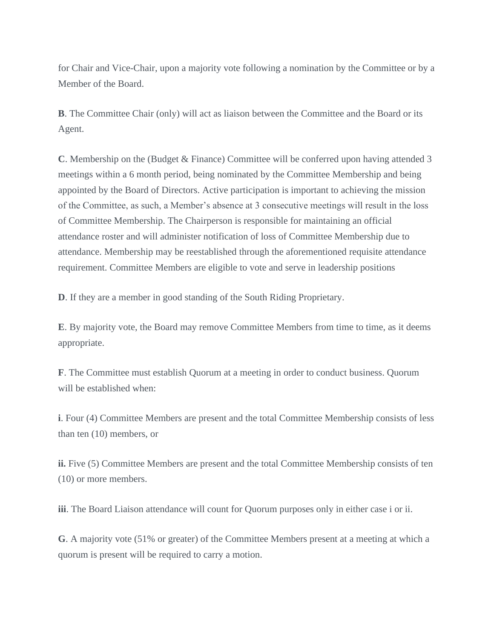for Chair and Vice-Chair, upon a majority vote following a nomination by the Committee or by a Member of the Board.

**B**. The Committee Chair (only) will act as liaison between the Committee and the Board or its Agent.

**C**. Membership on the (Budget & Finance) Committee will be conferred upon having attended 3 meetings within a 6 month period, being nominated by the Committee Membership and being appointed by the Board of Directors. Active participation is important to achieving the mission of the Committee, as such, a Member's absence at 3 consecutive meetings will result in the loss of Committee Membership. The Chairperson is responsible for maintaining an official attendance roster and will administer notification of loss of Committee Membership due to attendance. Membership may be reestablished through the aforementioned requisite attendance requirement. Committee Members are eligible to vote and serve in leadership positions

**D**. If they are a member in good standing of the South Riding Proprietary.

**E**. By majority vote, the Board may remove Committee Members from time to time, as it deems appropriate.

**F**. The Committee must establish Quorum at a meeting in order to conduct business. Quorum will be established when:

**i**. Four (4) Committee Members are present and the total Committee Membership consists of less than ten (10) members, or

**ii.** Five (5) Committee Members are present and the total Committee Membership consists of ten (10) or more members.

**iii**. The Board Liaison attendance will count for Quorum purposes only in either case i or ii.

**G**. A majority vote (51% or greater) of the Committee Members present at a meeting at which a quorum is present will be required to carry a motion.